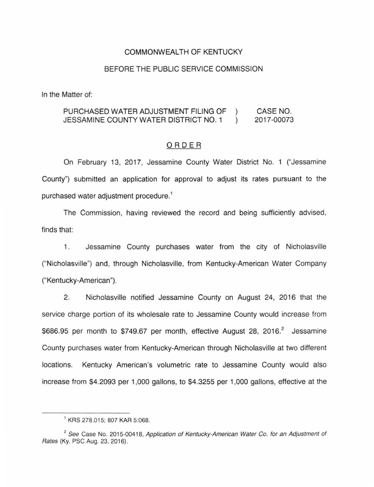# COMMONWEALTH OF KENTUCKY

#### BEFORE THE PUBLIC SERVICE COMMISSION

In the Matter of:

#### PURCHASED WATER ADJUSTMENT FILING OF CASE NO.  $\mathcal{L}$  $\lambda$ JESSAMINE COUNTY WATER DISTRICT NO. 1 2017-00073

# ORDER

On February 13, 2017, Jessamine County Water District No. 1 ("Jessamine County") submitted an application for approval to adjust its rates pursuant to the purchased water adjustment procedure. 1

The Commission, having reviewed the record and being sufficiently advised, finds that:

1. Jessamine County purchases water from the city of Nicholasville ("Nicholasville") and, through Nicholasville, from Kentucky-American Water Company ("Kentucky-American").

2. Nicholasville notified Jessamine County on August 24, 2016 that the service charge portion of its wholesale rate to Jessamine County would increase from \$686.95 per month to \$749.67 per month, effective August 28, 2016.<sup>2</sup> Jessamine County purchases water from Kentucky-American through Nicholasville at two different locations. Kentucky American's volumetric rate to Jessamine County would also increase from \$4.2093 per 1 ,000 gallons, to \$4.3255 per 1,000 gallons, effective at the

<sup>1</sup>KRS 278.015; 807 KAR 5:068.

 $2$  See Case No. 2015-00418, Application of Kentucky-American Water Co. for an Adjustment of Rates (Ky. PSC Aug. 23, 2016).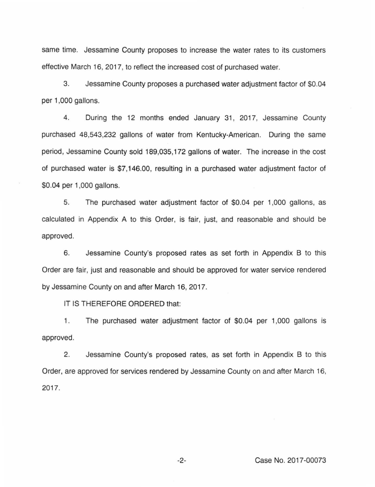same time. Jessamine County proposes to increase the water rates to its customers effective March 16, 2017, to reflect the increased cost of purchased water.

3. Jessamine County proposes a purchased water adjustment factor of \$0.04 per 1,000 gallons.

4. During the 12 months ended January 31, 2017, Jessamine County purchased 48,543,232 gallons of water from Kentucky-American. During the same period, Jessamine County sold 189,035,172 gallons of water. The increase in the cost of purchased water is \$7, 146.00, resulting in a purchased water adjustment factor of \$0.04 per 1 ,000 gallons.

5. The purchased water adjustment factor of \$0.04 per 1 ,000 gallons, as calculated in Appendix A to this Order, is fair, just, and reasonable and should be approved.

6. Jessamine County's proposed rates as set forth in Appendix B to this Order are fair, just and reasonable and should be approved for water service rendered by Jessamine County on and after March 16, 2017.

IT IS THEREFORE ORDERED that:

1. The purchased water adjustment factor of \$0.04 per 1,000 gallons is approved.

2. Jessamine County's proposed rates, as set forth in Appendix B to this Order, are approved for services rendered by Jessamine County on and after March 16, 2017.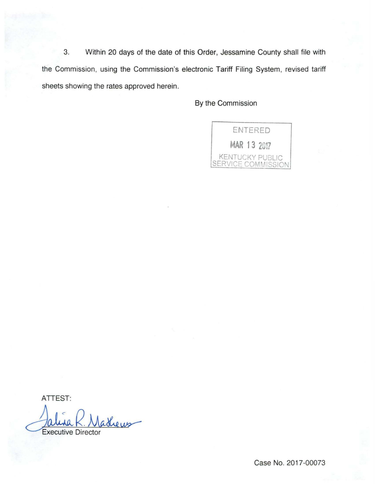3. Within 20 days of the date of this Order, Jessamine County shall file with the Commission, using the Commission's electronic Tariff Filing System, revised tariff sheets showing the rates approved herein.

By the Commission



ATTEST:

Jalura K. Madheus

Case No. 2017-00073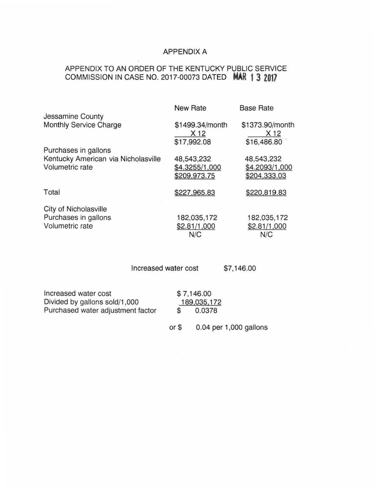# APPENDIX A

# APPENDIX TO AN ORDER OF THE KENTUCKY PUBLIC SERVICE COMMISSION IN CASE NO. 2017-00073 DATED **MAR 1 3 2017**

|                                     | <b>New Rate</b> | <b>Base Rate</b> |
|-------------------------------------|-----------------|------------------|
| Jessamine County                    |                 |                  |
| Monthly Service Charge              | \$1499.34/month | \$1373.90/month  |
|                                     | X 12            | X 12             |
|                                     | \$17,992.08     | \$16,486.80      |
| Purchases in gallons                |                 |                  |
| Kentucky American via Nicholasville | 48,543,232      | 48,543,232       |
| Volumetric rate                     | \$4.3255/1,000  | \$4.2093/1,000   |
|                                     | \$209,973.75    | \$204,333.03     |
| Total                               | \$227,965.83    | \$220,819.83     |
|                                     |                 |                  |
| City of Nicholasville               |                 |                  |
| Purchases in gallons                | 182,035,172     | 182,035,172      |
| Volumetric rate                     | \$2.81/1,000    | \$2.81/1,000     |
|                                     | N/C             | N/C              |
|                                     |                 |                  |

Increased water cost \$7,146.00

| Increased water cost              |             | \$7,146.00             |
|-----------------------------------|-------------|------------------------|
| Divided by gallons sold/1,000     | 189,035,172 |                        |
| Purchased water adjustment factor | S           | 0.0378                 |
|                                   | or \$       | 0.04 per 1,000 gallons |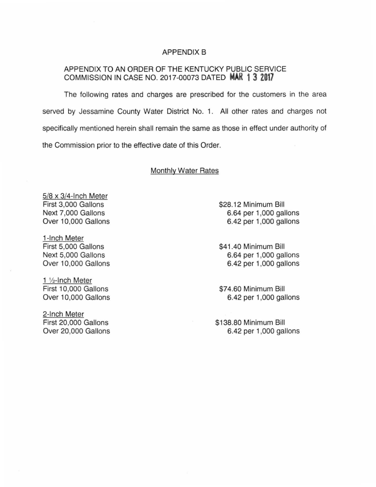# APPENDIX B

# APPENDIX TO AN ORDER OF THE KENTUCKY PUBLIC SERVICE COMMISSION IN CASE NO. 2017-00073 DATED **MAR 1 3 2017**

The following rates and charges are prescribed for the customers in the area served by Jessamine County Water District No. 1. All other rates and charges not specifically mentioned herein shall remain the same as those in effect under authority of the Commission prior to the effective date of this Order.

# Monthly Water Rates

5/8 x 3/4-lnch Meter First 3,000 Gallons Next 7,000 Gallons Over 10,000 Gallons

1-lnch Meter First 5,000 Gallons Next 5,000 Gallons Over 10,000 Gallons

1 V2-lnch Meter First 10,000 Gallons Over 10,000 Gallons

2-lnch Meter First 20,000 Gallons Over 20,000 Gallons \$28.12 Minimum Bill 6.64 per 1 ,000 gallons 6.42 per 1 ,000 gallons

\$41.40 Minimum Bill 6.64 per 1,000 gallons 6.42 per 1 ,000 gallons

\$74.60 Minimum Bill 6.42 per 1 ,000 gallons

\$138.80 Minimum Bill 6.42 per 1 ,000 gallons